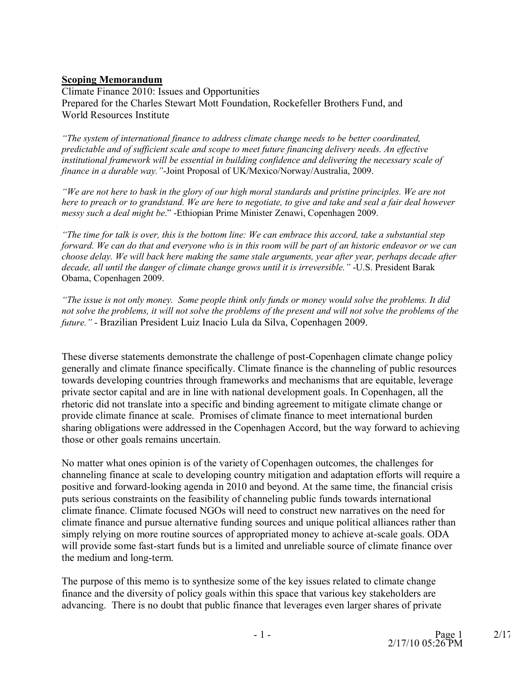#### **Scoping Memorandum**

Climate Finance 2010: Issues and Opportunities Prepared for the Charles Stewart Mott Foundation, Rockefeller Brothers Fund, and World Resources Institute

*"The system of international finance to address climate change needs to be better coordinated, predictable and of sufficient scale and scope to meet future financing delivery needs. An effective institutional framework will be essential in building confidence and delivering the necessary scale of finance in a durable way."*-Joint Proposal of UK/Mexico/Norway/Australia, 2009.

*"We are not here to bask in the glory of our high moral standards and pristine principles. We are not here to preach or to grandstand. We are here to negotiate, to give and take and seal a fair deal however messy such a deal might be*." -Ethiopian Prime Minister Zenawi, Copenhagen 2009.

*"The time for talk is over, this is the bottom line: We can embrace this accord, take a substantial step forward. We can do that and everyone who is in this room will be part of an historic endeavor or we can choose delay. We will back here making the same stale arguments, year after year, perhaps decade after decade, all until the danger of climate change grows until it is irreversible."* -U.S. President Barak Obama, Copenhagen 2009.

*"The issue is not only money. Some people think only funds or money would solve the problems. It did not solve the problems, it will not solve the problems of the present and will not solve the problems of the future."* - Brazilian President Luiz Inacio Lula da Silva, Copenhagen 2009.

These diverse statements demonstrate the challenge of post-Copenhagen climate change policy generally and climate finance specifically. Climate finance is the channeling of public resources towards developing countries through frameworks and mechanisms that are equitable, leverage private sector capital and are in line with national development goals. In Copenhagen, all the rhetoric did not translate into a specific and binding agreement to mitigate climate change or provide climate finance at scale. Promises of climate finance to meet international burden sharing obligations were addressed in the Copenhagen Accord, but the way forward to achieving those or other goals remains uncertain.

No matter what ones opinion is of the variety of Copenhagen outcomes, the challenges for channeling finance at scale to developing country mitigation and adaptation efforts will require a positive and forward-looking agenda in 2010 and beyond. At the same time, the financial crisis puts serious constraints on the feasibility of channeling public funds towards international climate finance. Climate focused NGOs will need to construct new narratives on the need for climate finance and pursue alternative funding sources and unique political alliances rather than simply relying on more routine sources of appropriated money to achieve at-scale goals. ODA will provide some fast-start funds but is a limited and unreliable source of climate finance over the medium and long-term.

The purpose of this memo is to synthesize some of the key issues related to climate change finance and the diversity of policy goals within this space that various key stakeholders are advancing. There is no doubt that public finance that leverages even larger shares of private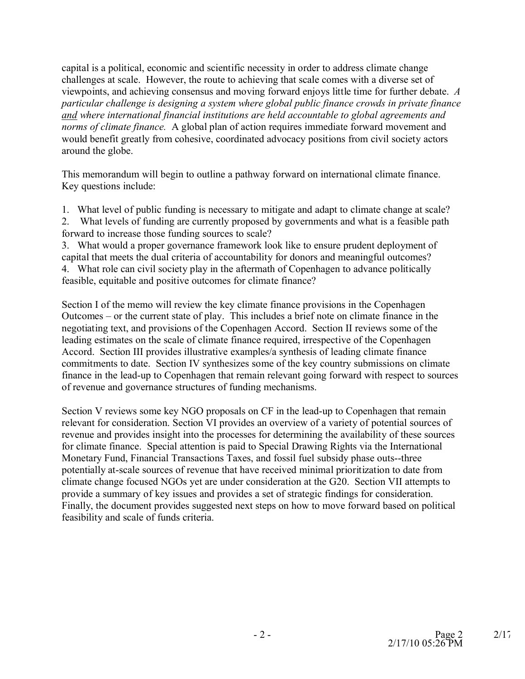capital is a political, economic and scientific necessity in order to address climate change challenges at scale. However, the route to achieving that scale comes with a diverse set of viewpoints, and achieving consensus and moving forward enjoys little time for further debate. *A particular challenge is designing a system where global public finance crowds in private finance and where international financial institutions are held accountable to global agreements and norms of climate finance.* A global plan of action requires immediate forward movement and would benefit greatly from cohesive, coordinated advocacy positions from civil society actors around the globe.

This memorandum will begin to outline a pathway forward on international climate finance. Key questions include:

1. What level of public funding is necessary to mitigate and adapt to climate change at scale?

2. What levels of funding are currently proposed by governments and what is a feasible path forward to increase those funding sources to scale?

3. What would a proper governance framework look like to ensure prudent deployment of capital that meets the dual criteria of accountability for donors and meaningful outcomes? 4. What role can civil society play in the aftermath of Copenhagen to advance politically feasible, equitable and positive outcomes for climate finance?

Section I of the memo will review the key climate finance provisions in the Copenhagen Outcomes – or the current state of play. This includes a brief note on climate finance in the negotiating text, and provisions of the Copenhagen Accord. Section II reviews some of the leading estimates on the scale of climate finance required, irrespective of the Copenhagen Accord. Section III provides illustrative examples/a synthesis of leading climate finance commitments to date. Section IV synthesizes some of the key country submissions on climate finance in the lead-up to Copenhagen that remain relevant going forward with respect to sources of revenue and governance structures of funding mechanisms.

Section V reviews some key NGO proposals on CF in the lead-up to Copenhagen that remain relevant for consideration. Section VI provides an overview of a variety of potential sources of revenue and provides insight into the processes for determining the availability of these sources for climate finance. Special attention is paid to Special Drawing Rights via the International Monetary Fund, Financial Transactions Taxes, and fossil fuel subsidy phase outs--three potentially at-scale sources of revenue that have received minimal prioritization to date from climate change focused NGOs yet are under consideration at the G20. Section VII attempts to provide a summary of key issues and provides a set of strategic findings for consideration. Finally, the document provides suggested next steps on how to move forward based on political feasibility and scale of funds criteria.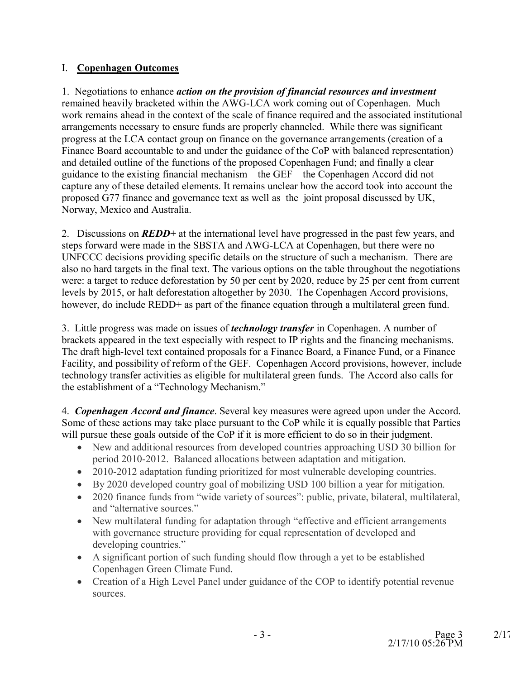# I. **Copenhagen Outcomes**

1. Negotiations to enhance *action on the provision of financial resources and investment* remained heavily bracketed within the AWG-LCA work coming out of Copenhagen. Much work remains ahead in the context of the scale of finance required and the associated institutional arrangements necessary to ensure funds are properly channeled. While there was significant progress at the LCA contact group on finance on the governance arrangements (creation of a Finance Board accountable to and under the guidance of the CoP with balanced representation) and detailed outline of the functions of the proposed Copenhagen Fund; and finally a clear guidance to the existing financial mechanism – the GEF – the Copenhagen Accord did not capture any of these detailed elements. It remains unclear how the accord took into account the proposed G77 finance and governance text as well as the joint proposal discussed by UK, Norway, Mexico and Australia.

2. Discussions on *REDD+* at the international level have progressed in the past few years, and steps forward were made in the SBSTA and AWG-LCA at Copenhagen, but there were no UNFCCC decisions providing specific details on the structure of such a mechanism. There are also no hard targets in the final text. The various options on the table throughout the negotiations were: a target to reduce deforestation by 50 per cent by 2020, reduce by 25 per cent from current levels by 2015, or halt deforestation altogether by 2030. The Copenhagen Accord provisions, however, do include REDD+ as part of the finance equation through a multilateral green fund.

3. Little progress was made on issues of *technology transfer* in Copenhagen. A number of brackets appeared in the text especially with respect to IP rights and the financing mechanisms. The draft high-level text contained proposals for a Finance Board, a Finance Fund, or a Finance Facility, and possibility of reform of the GEF. Copenhagen Accord provisions, however, include technology transfer activities as eligible for multilateral green funds. The Accord also calls for the establishment of a "Technology Mechanism."

4. *Copenhagen Accord and finance*. Several key measures were agreed upon under the Accord. Some of these actions may take place pursuant to the CoP while it is equally possible that Parties will pursue these goals outside of the CoP if it is more efficient to do so in their judgment.

- New and additional resources from developed countries approaching USD 30 billion for period 2010-2012. Balanced allocations between adaptation and mitigation.
- 2010-2012 adaptation funding prioritized for most vulnerable developing countries.
- · By 2020 developed country goal of mobilizing USD 100 billion a year for mitigation.
- 2020 finance funds from "wide variety of sources": public, private, bilateral, multilateral, and "alternative sources."
- New multilateral funding for adaptation through "effective and efficient arrangements with governance structure providing for equal representation of developed and developing countries."
- · A significant portion of such funding should flow through a yet to be established Copenhagen Green Climate Fund.
- Creation of a High Level Panel under guidance of the COP to identify potential revenue sources.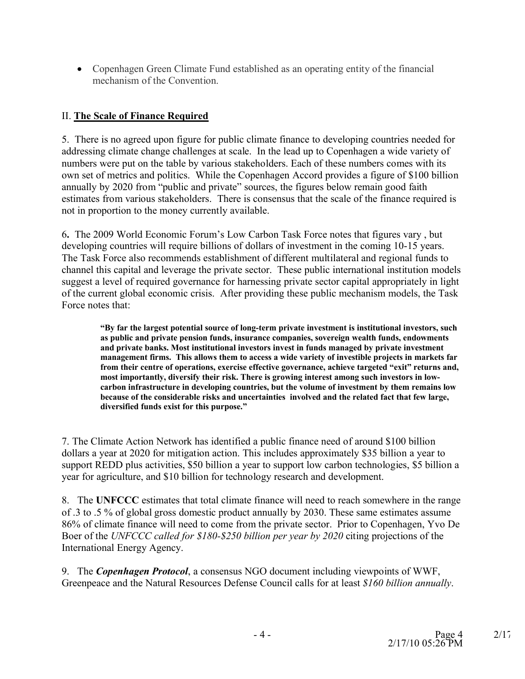· Copenhagen Green Climate Fund established as an operating entity of the financial mechanism of the Convention.

# II. **The Scale of Finance Required**

5. There is no agreed upon figure for public climate finance to developing countries needed for addressing climate change challenges at scale. In the lead up to Copenhagen a wide variety of numbers were put on the table by various stakeholders. Each of these numbers comes with its own set of metrics and politics. While the Copenhagen Accord provides a figure of \$100 billion annually by 2020 from "public and private" sources, the figures below remain good faith estimates from various stakeholders. There is consensus that the scale of the finance required is not in proportion to the money currently available.

6**.** The 2009 World Economic Forum's Low Carbon Task Force notes that figures vary , but developing countries will require billions of dollars of investment in the coming 10-15 years. The Task Force also recommends establishment of different multilateral and regional funds to channel this capital and leverage the private sector. These public international institution models suggest a level of required governance for harnessing private sector capital appropriately in light of the current global economic crisis. After providing these public mechanism models, the Task Force notes that:

**"By far the largest potential source of long-term private investment is institutional investors, such as public and private pension funds, insurance companies, sovereign wealth funds, endowments and private banks. Most institutional investors invest in funds managed by private investment management firms. This allows them to access a wide variety of investible projects in markets far from their centre of operations, exercise effective governance, achieve targeted "exit" returns and, most importantly, diversify their risk. There is growing interest among such investors in lowcarbon infrastructure in developing countries, but the volume of investment by them remains low because of the considerable risks and uncertainties involved and the related fact that few large, diversified funds exist for this purpose."** 

7. The Climate Action Network has identified a public finance need of around \$100 billion dollars a year at 2020 for mitigation action. This includes approximately \$35 billion a year to support REDD plus activities, \$50 billion a year to support low carbon technologies, \$5 billion a year for agriculture, and \$10 billion for technology research and development.

8. The **UNFCCC** estimates that total climate finance will need to reach somewhere in the range of .3 to .5 % of global gross domestic product annually by 2030. These same estimates assume 86% of climate finance will need to come from the private sector. Prior to Copenhagen, Yvo De Boer of the *UNFCCC called for \$180-\$250 billion per year by 2020* citing projections of the International Energy Agency.

9. The *Copenhagen Protocol*, a consensus NGO document including viewpoints of WWF, Greenpeace and the Natural Resources Defense Council calls for at least *\$160 billion annually*.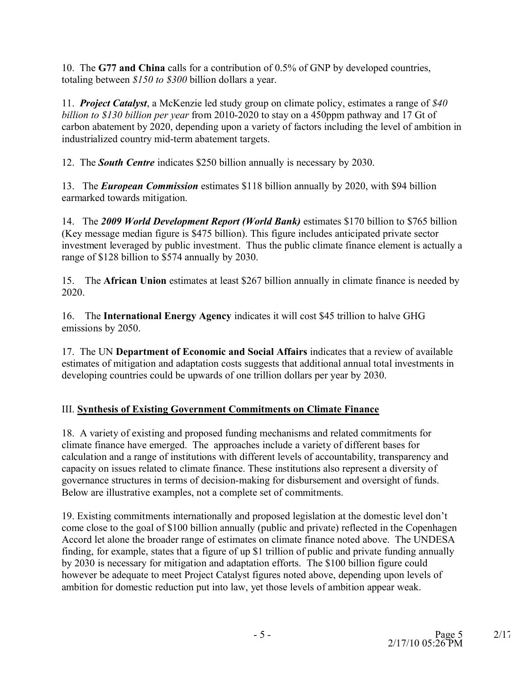10. The **G77 and China** calls for a contribution of 0.5% of GNP by developed countries, totaling between *\$150 to \$300* billion dollars a year.

11. *Project Catalyst*, a McKenzie led study group on climate policy, estimates a range of *\$40 billion to \$130 billion per year* from 2010-2020 to stay on a 450ppm pathway and 17 Gt of carbon abatement by 2020, depending upon a variety of factors including the level of ambition in industrialized country mid-term abatement targets.

12. The *South Centre* indicates \$250 billion annually is necessary by 2030.

13. The *European Commission* estimates \$118 billion annually by 2020, with \$94 billion earmarked towards mitigation.

14. The *2009 World Development Report (World Bank)* estimates \$170 billion to \$765 billion (Key message median figure is \$475 billion). This figure includes anticipated private sector investment leveraged by public investment. Thus the public climate finance element is actually a range of \$128 billion to \$574 annually by 2030.

15. The **African Union** estimates at least \$267 billion annually in climate finance is needed by 2020.

16. The **International Energy Agency** indicates it will cost \$45 trillion to halve GHG emissions by 2050.

17. The UN **Department of Economic and Social Affairs** indicates that a review of available estimates of mitigation and adaptation costs suggests that additional annual total investments in developing countries could be upwards of one trillion dollars per year by 2030.

# III. **Synthesis of Existing Government Commitments on Climate Finance**

18. A variety of existing and proposed funding mechanisms and related commitments for climate finance have emerged. The approaches include a variety of different bases for calculation and a range of institutions with different levels of accountability, transparency and capacity on issues related to climate finance. These institutions also represent a diversity of governance structures in terms of decision-making for disbursement and oversight of funds. Below are illustrative examples, not a complete set of commitments.

19. Existing commitments internationally and proposed legislation at the domestic level don't come close to the goal of \$100 billion annually (public and private) reflected in the Copenhagen Accord let alone the broader range of estimates on climate finance noted above. The UNDESA finding, for example, states that a figure of up \$1 trillion of public and private funding annually by 2030 is necessary for mitigation and adaptation efforts. The \$100 billion figure could however be adequate to meet Project Catalyst figures noted above, depending upon levels of ambition for domestic reduction put into law, yet those levels of ambition appear weak.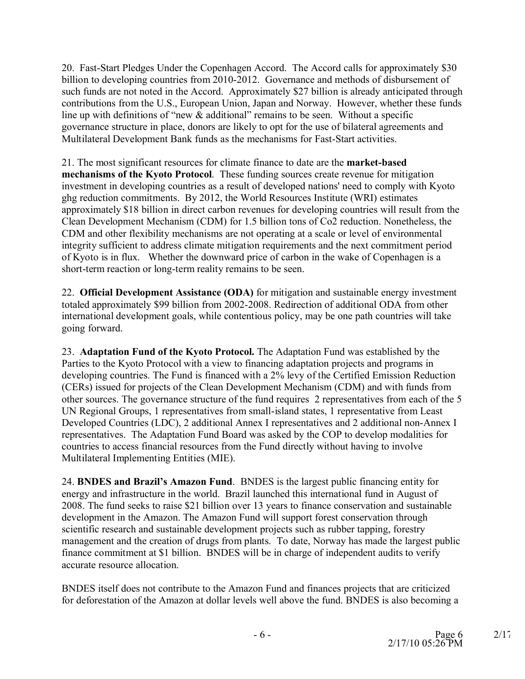20. Fast-Start Pledges Under the Copenhagen Accord. The Accord calls for approximately \$30 billion to developing countries from 2010-2012. Governance and methods of disbursement of such funds are not noted in the Accord. Approximately \$27 billion is already anticipated through contributions from the U.S., European Union, Japan and Norway. However, whether these funds line up with definitions of "new & additional" remains to be seen. Without a specific governance structure in place, donors are likely to opt for the use of bilateral agreements and Multilateral Development Bank funds as the mechanisms for Fast-Start activities.

21. The most significant resources for climate finance to date are the **market-based mechanisms of the Kyoto Protocol**. These funding sources create revenue for mitigation investment in developing countries as a result of developed nations' need to comply with Kyoto ghg reduction commitments. By 2012, the World Resources Institute (WRI) estimates approximately \$18 billion in direct carbon revenues for developing countries will result from the Clean Development Mechanism (CDM) for 1.5 billion tons of Co2 reduction. Nonetheless, the CDM and other flexibility mechanisms are not operating at a scale or level of environmental integrity sufficient to address climate mitigation requirements and the next commitment period of Kyoto is in flux. Whether the downward price of carbon in the wake of Copenhagen is a short-term reaction or long-term reality remains to be seen.

22. **Official Development Assistance (ODA)** for mitigation and sustainable energy investment totaled approximately \$99 billion from 2002-2008. Redirection of additional ODA from other international development goals, while contentious policy, may be one path countries will take going forward.

23. **Adaptation Fund of the Kyoto Protocol.** The Adaptation Fund was established by the Parties to the Kyoto Protocol with a view to financing adaptation projects and programs in develo[ping countries. The Fund is financed with a 2% levy of](http://cdm.unfccc.int/Issuance/SOPByProjectsTable.html) the Certified Emission Reduction (CERs) issued for projects of the [Clean Development Mechanism \(CDM\)](http://unfccc.int/kyoto_protocol/mechanisms/clean_development_mechanism/items/2718.php) and with funds from other sources. The governance structure of the fund requires 2 representatives from each of the 5 UN Regional Groups, 1 representatives from small-island states, 1 representative from Least Developed Countries (LDC), 2 additional Annex I representatives and 2 additional non-Annex I representatives. The Adaptation Fund Board was asked by the COP to develop modalities for countries to access financial resources from the Fund directly without having to involve Multilateral Implementing Entities (MIE).

24. **BNDES and Brazil's Amazon Fund**. BNDES is the largest public financing entity for energy and infrastructure in the world. Brazil launched this international fund in August of 2008. The fund seeks to raise \$21 billion over 13 years to finance conservation and sustainable development in the Amazon. The Amazon Fund will support forest conservation through scientific research and sustainable development projects such as rubber tapping, forestry management and the creation of drugs from plants. To date, Norway has made the largest public finance commitment at \$1 billion. BNDES will be in charge of independent audits to verify accurate resource allocation.

BNDES itself does not contribute to the Amazon Fund and finances projects that are criticized for deforestation of the Amazon at dollar levels well above the fund. BNDES is also becoming a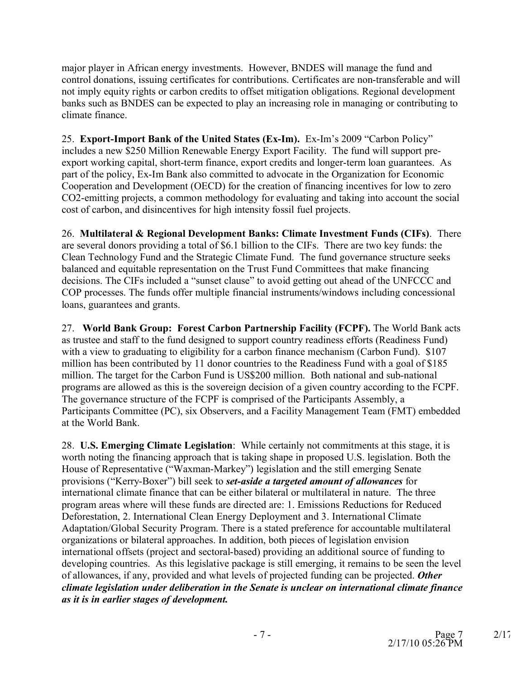major player in African energy investments. However, BNDES will manage the fund and control donations, issuing certificates for contributions. Certificates are non-transferable and will not imply equity rights or carbon credits to offset mitigation obligations. Regional development banks such as BNDES can be expected to play an increasing role in managing or contributing to climate finance.

25. **Export-Import Bank of the United States (Ex-Im).** Ex-Im's 2009 "Carbon Policy" includes a new \$250 Million Renewable Energy Export Facility. The fund will support preexport working capital, short-term finance, export credits and longer-term loan guarantees. As part of the policy, Ex-Im Bank also committed to advocate in the Organization for Economic Cooperation and Development (OECD) for the creation of financing incentives for low to zero CO2-emitting projects, a common methodology for evaluating and taking into account the social cost of carbon, and disincentives for high intensity fossil fuel projects.

26. **Multilateral & Regional Development Banks: Climate Investment Funds (CIFs)**. There are several donors providing a total of \$6.1 billion to the CIFs. There are two key funds: the Clean Technology Fund and the Strategic Climate Fund. The fund governance structure seeks balanced and equitable representation on the Trust Fund Committees that make financing decisions. The CIFs included a "sunset clause" to avoid getting out ahead of the UNFCCC and COP processes. The funds offer multiple financial instruments/windows including concessional loans, guarantees and grants.

27. **World Bank Group: Forest Carbon Partnership Facility (FCPF).** The World Bank acts as trustee and staff to the fund designed to support country readiness efforts (Readiness Fund) with a view to graduating to eligibility for a carbon finance mechanism (Carbon Fund). \$107 million has been contributed by 11 donor countries to the Readiness Fund with a goal of \$185 million. The target for the Carbon Fund is US\$200 million. Both national and sub-national programs are allowed as this is the sovereign decision of a given country according to the FCPF. The governance structure of the FCPF is comprised of the Participants Assembly, a Participants Committee (PC), six Observers, and a Facility Management Team (FMT) embedded at the World Bank.

28. **U.S. Emerging Climate Legislation**: While certainly not commitments at this stage, it is worth noting the financing approach that is taking shape in proposed U.S. legislation. Both the House of Representative ("Waxman-Markey") legislation and the still emerging Senate provisions ("Kerry-Boxer") bill seek to *set-aside a targeted amount of allowances* for international climate finance that can be either bilateral or multilateral in nature. The three program areas where will these funds are directed are: 1. Emissions Reductions for Reduced Deforestation, 2. International Clean Energy Deployment and 3. International Climate Adaptation/Global Security Program. There is a stated preference for accountable multilateral organizations or bilateral approaches. In addition, both pieces of legislation envision international offsets (project and sectoral-based) providing an additional source of funding to developing countries. As this legislative package is still emerging, it remains to be seen the level of allowances, if any, provided and what levels of projected funding can be projected. *Other climate legislation under deliberation in the Senate is unclear on international climate finance as it is in earlier stages of development.*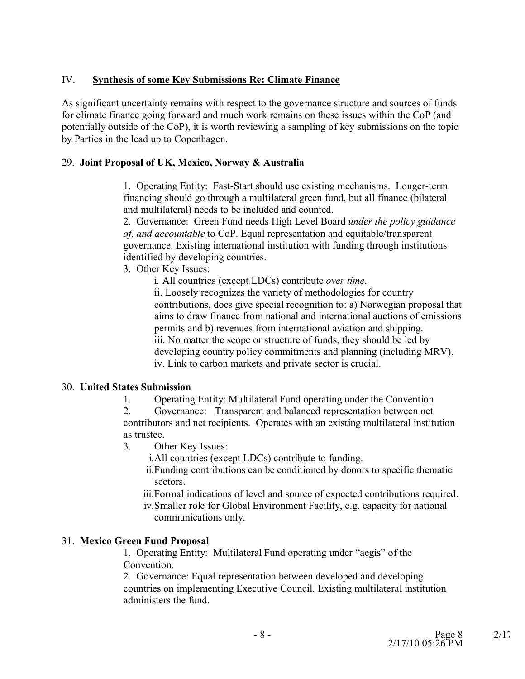# IV. **Synthesis of some Key Submissions Re: Climate Finance**

As significant uncertainty remains with respect to the governance structure and sources of funds for climate finance going forward and much work remains on these issues within the CoP (and potentially outside of the CoP), it is worth reviewing a sampling of key submissions on the topic by Parties in the lead up to Copenhagen.

### 29. **Joint Proposal of UK, Mexico, Norway & Australia**

1. Operating Entity: Fast-Start should use existing mechanisms. Longer-term financing should go through a multilateral green fund, but all finance (bilateral and multilateral) needs to be included and counted.

2. Governance: Green Fund needs High Level Board *under the policy guidance of, and accountable* to CoP. Equal representation and equitable/transparent governance. Existing international institution with funding through institutions identified by developing countries.

3. Other Key Issues:

i. All countries (except LDCs) contribute *over time*.

ii. Loosely recognizes the variety of methodologies for country contributions, does give special recognition to: a) Norwegian proposal that aims to draw finance from national and international auctions of emissions permits and b) revenues from international aviation and shipping. iii. No matter the scope or structure of funds, they should be led by developing country policy commitments and planning (including MRV). iv. Link to carbon markets and private sector is crucial.

#### 30. **United States Submission**

1. Operating Entity: Multilateral Fund operating under the Convention

2. Governance: Transparent and balanced representation between net contributors and net recipients. Operates with an existing multilateral institution as trustee.

3. Other Key Issues:

i.All countries (except LDCs) contribute to funding.

ii.Funding contributions can be conditioned by donors to specific thematic sectors.

iii.Formal indications of level and source of expected contributions required. iv.Smaller role for Global Environment Facility, e.g. capacity for national communications only.

# 31. **Mexico Green Fund Proposal**

1. Operating Entity: Multilateral Fund operating under "aegis" of the Convention.

2. Governance: Equal representation between developed and developing countries on implementing Executive Council. Existing multilateral institution administers the fund.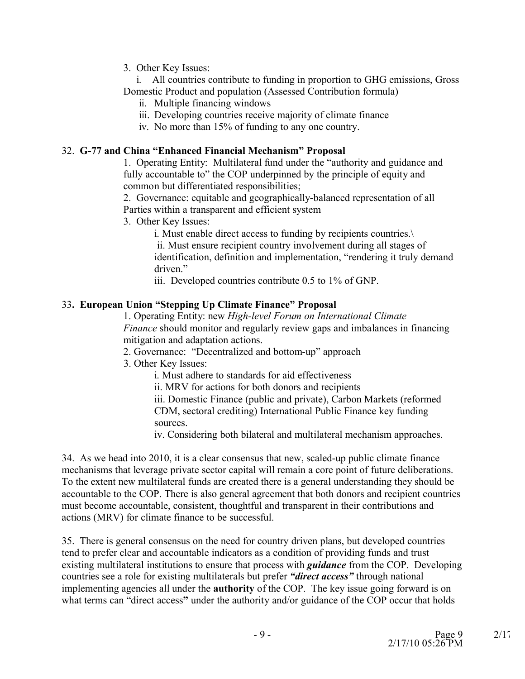3. Other Key Issues:

i. All countries contribute to funding in proportion to GHG emissions, Gross Domestic Product and population (Assessed Contribution formula)

- ii. Multiple financing windows
- iii. Developing countries receive majority of climate finance
- iv. No more than 15% of funding to any one country.

### 32. **G-77 and China "Enhanced Financial Mechanism" Proposal**

1. Operating Entity: Multilateral fund under the "authority and guidance and fully accountable to" the COP underpinned by the principle of equity and common but differentiated responsibilities;

2. Governance: equitable and geographically-balanced representation of all Parties within a transparent and efficient system

3. Other Key Issues:

i. Must enable direct access to funding by recipients countries.\ ii. Must ensure recipient country involvement during all stages of identification, definition and implementation, "rendering it truly demand driven."

iii. Developed countries contribute 0.5 to 1% of GNP.

# 33**. European Union "Stepping Up Climate Finance" Proposal**

1. Operating Entity: new *High-level Forum on International Climate Finance* should monitor and regularly review gaps and imbalances in financing mitigation and adaptation actions.

2. Governance: "Decentralized and bottom-up" approach

3. Other Key Issues:

i. Must adhere to standards for aid effectiveness

ii. MRV for actions for both donors and recipients

iii. Domestic Finance (public and private), Carbon Markets (reformed CDM, sectoral crediting) International Public Finance key funding sources.

iv. Considering both bilateral and multilateral mechanism approaches.

34. As we head into 2010, it is a clear consensus that new, scaled-up public climate finance mechanisms that leverage private sector capital will remain a core point of future deliberations. To the extent new multilateral funds are created there is a general understanding they should be accountable to the COP. There is also general agreement that both donors and recipient countries must become accountable, consistent, thoughtful and transparent in their contributions and actions (MRV) for climate finance to be successful.

35. There is general consensus on the need for country driven plans, but developed countries tend to prefer clear and accountable indicators as a condition of providing funds and trust existing multilateral institutions to ensure that process with *guidance* from the COP. Developing countries see a role for existing multilaterals but prefer *"direct access"* through national implementing agencies all under the **authority** of the COP. The key issue going forward is on what terms can "direct access**"** under the authority and/or guidance of the COP occur that holds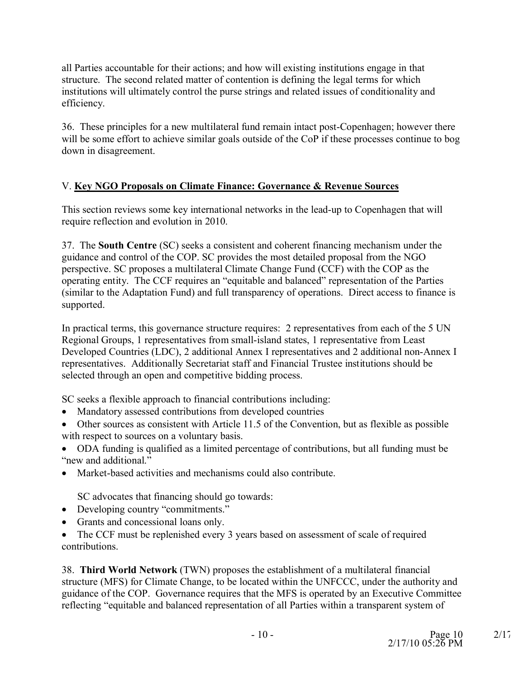all Parties accountable for their actions; and how will existing institutions engage in that structure. The second related matter of contention is defining the legal terms for which institutions will ultimately control the purse strings and related issues of conditionality and efficiency.

36. These principles for a new multilateral fund remain intact post-Copenhagen; however there will be some effort to achieve similar goals outside of the CoP if these processes continue to bog down in disagreement.

# V. **Key NGO Proposals on Climate Finance: Governance & Revenue Sources**

This section reviews some key international networks in the lead-up to Copenhagen that will require reflection and evolution in 2010.

37. The **South Centre** (SC) seeks a consistent and coherent financing mechanism under the guidance and control of the COP. SC provides the most detailed proposal from the NGO perspective. SC proposes a multilateral Climate Change Fund (CCF) with the COP as the operating entity. The CCF requires an "equitable and balanced" representation of the Parties (similar to the Adaptation Fund) and full transparency of operations. Direct access to finance is supported.

In practical terms, this governance structure requires: 2 representatives from each of the 5 UN Regional Groups, 1 representatives from small-island states, 1 representative from Least Developed Countries (LDC), 2 additional Annex I representatives and 2 additional non-Annex I representatives. Additionally Secretariat staff and Financial Trustee institutions should be selected through an open and competitive bidding process.

SC seeks a flexible approach to financial contributions including:

- Mandatory assessed contributions from developed countries
- · Other sources as consistent with Article 11.5 of the Convention, but as flexible as possible with respect to sources on a voluntary basis.
- · ODA funding is qualified as a limited percentage of contributions, but all funding must be "new and additional."
- Market-based activities and mechanisms could also contribute.

SC advocates that financing should go towards:

- Developing country "commitments."
- · Grants and concessional loans only.
- The CCF must be replenished every 3 years based on assessment of scale of required contributions.

38. **Third World Network** (TWN) proposes the establishment of a multilateral financial structure (MFS) for Climate Change, to be located within the UNFCCC, under the authority and guidance of the COP. Governance requires that the MFS is operated by an Executive Committee reflecting "equitable and balanced representation of all Parties within a transparent system of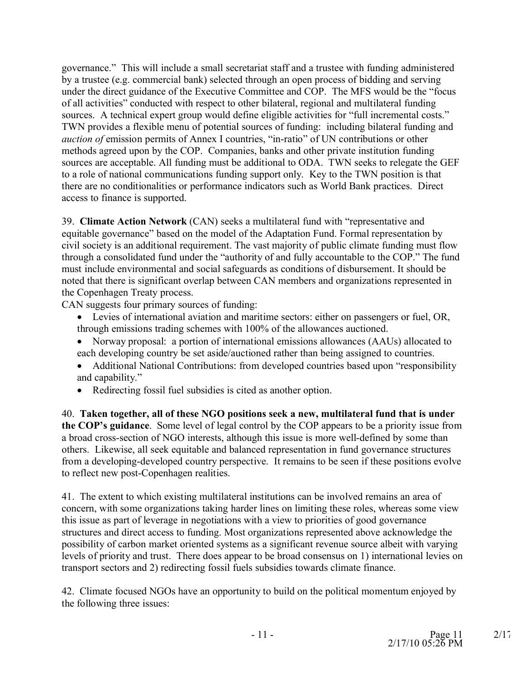governance." This will include a small secretariat staff and a trustee with funding administered by a trustee (e.g. commercial bank) selected through an open process of bidding and serving under the direct guidance of the Executive Committee and COP. The MFS would be the "focus of all activities" conducted with respect to other bilateral, regional and multilateral funding sources. A technical expert group would define eligible activities for "full incremental costs." TWN provides a flexible menu of potential sources of funding: including bilateral funding and *auction of* emission permits of Annex I countries, "in-ratio" of UN contributions or other methods agreed upon by the COP. Companies, banks and other private institution funding sources are acceptable. All funding must be additional to ODA. TWN seeks to relegate the GEF to a role of national communications funding support only. Key to the TWN position is that there are no conditionalities or performance indicators such as World Bank practices. Direct access to finance is supported.

39. **Climate Action Network** (CAN) seeks a multilateral fund with "representative and equitable governance" based on the model of the Adaptation Fund. Formal representation by civil society is an additional requirement. The vast majority of public climate funding must flow through a consolidated fund under the "authority of and fully accountable to the COP." The fund must include environmental and social safeguards as conditions of disbursement. It should be noted that there is significant overlap between CAN members and organizations represented in the Copenhagen Treaty process.

CAN suggests four primary sources of funding:

- · Levies of international aviation and maritime sectors: either on passengers or fuel, OR, through emissions trading schemes with 100% of the allowances auctioned.
- · Norway proposal: a portion of international emissions allowances (AAUs) allocated to each developing country be set aside/auctioned rather than being assigned to countries.
- Additional National Contributions: from developed countries based upon "responsibility" and capability."
- · Redirecting fossil fuel subsidies is cited as another option.

40. **Taken together, all of these NGO positions seek a new, multilateral fund that is under the COP's guidance**. Some level of legal control by the COP appears to be a priority issue from a broad cross-section of NGO interests, although this issue is more well-defined by some than others. Likewise, all seek equitable and balanced representation in fund governance structures from a developing-developed country perspective. It remains to be seen if these positions evolve to reflect new post-Copenhagen realities.

41. The extent to which existing multilateral institutions can be involved remains an area of concern, with some organizations taking harder lines on limiting these roles, whereas some view this issue as part of leverage in negotiations with a view to priorities of good governance structures and direct access to funding. Most organizations represented above acknowledge the possibility of carbon market oriented systems as a significant revenue source albeit with varying levels of priority and trust. There does appear to be broad consensus on 1) international levies on transport sectors and 2) redirecting fossil fuels subsidies towards climate finance.

42. Climate focused NGOs have an opportunity to build on the political momentum enjoyed by the following three issues: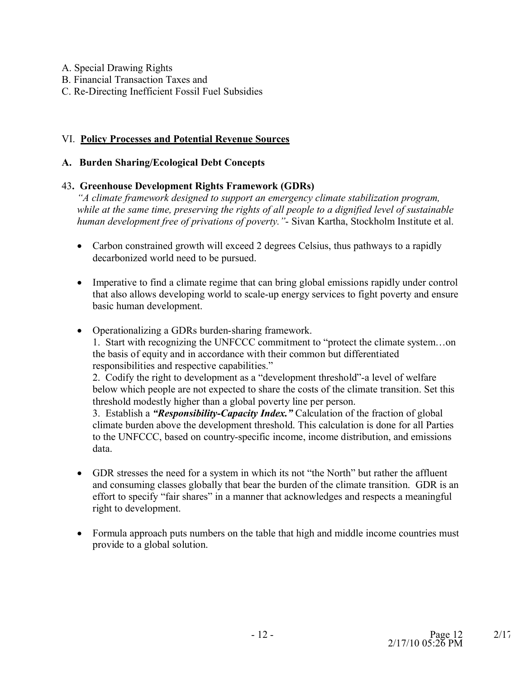- A. Special Drawing Rights
- B. Financial Transaction Taxes and
- C. Re-Directing Inefficient Fossil Fuel Subsidies

### VI. **Policy Processes and Potential Revenue Sources**

#### **A. Burden Sharing/Ecological Debt Concepts**

#### 43**. Greenhouse Development Rights Framework (GDRs)**

*"A climate framework designed to support an emergency climate stabilization program, while at the same time, preserving the rights of all people to a dignified level of sustainable human development free of privations of poverty."*- Sivan Kartha, Stockholm Institute et al.

- Carbon constrained growth will exceed 2 degrees Celsius, thus pathways to a rapidly decarbonized world need to be pursued.
- · Imperative to find a climate regime that can bring global emissions rapidly under control that also allows developing world to scale-up energy services to fight poverty and ensure basic human development.
- · Operationalizing a GDRs burden-sharing framework.

1. Start with recognizing the UNFCCC commitment to "protect the climate system…on the basis of equity and in accordance with their common but differentiated responsibilities and respective capabilities."

2. Codify the right to development as a "development threshold"-a level of welfare below which people are not expected to share the costs of the climate transition. Set this threshold modestly higher than a global poverty line per person.

3. Establish a *"Responsibility-Capacity Index."* Calculation of the fraction of global climate burden above the development threshold. This calculation is done for all Parties to the UNFCCC, based on country-specific income, income distribution, and emissions data.

- · GDR stresses the need for a system in which its not "the North" but rather the affluent and consuming classes globally that bear the burden of the climate transition. GDR is an effort to specify "fair shares" in a manner that acknowledges and respects a meaningful right to development.
- Formula approach puts numbers on the table that high and middle income countries must provide to a global solution.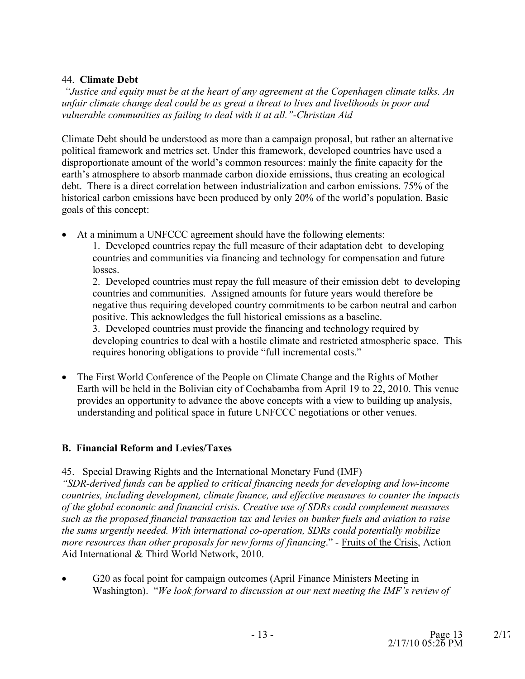### 44. **Climate Debt**

*"Justice and equity must be at the heart of any agreement at the Copenhagen climate talks. An unfair climate change deal could be as great a threat to lives and livelihoods in poor and vulnerable communities as failing to deal with it at all."-Christian Aid*

Climate Debt should be understood as more than a campaign proposal, but rather an alternative political framework and metrics set. Under this framework, developed countries have used a disproportionate amount of the world's common resources: mainly the finite capacity for the earth's atmosphere to absorb manmade carbon dioxide emissions, thus creating an ecological debt. There is a direct correlation between industrialization and carbon emissions. 75% of the historical carbon emissions have been produced by only 20% of the world's population. Basic goals of this concept:

- · At a minimum a UNFCCC agreement should have the following elements:
	- 1. Developed countries repay the full measure of their adaptation debt to developing countries and communities via financing and technology for compensation and future losses.

2. Developed countries must repay the full measure of their emission debt to developing countries and communities. Assigned amounts for future years would therefore be negative thus requiring developed country commitments to be carbon neutral and carbon positive. This acknowledges the full historical emissions as a baseline.

3. Developed countries must provide the financing and technology required by developing countries to deal with a hostile climate and restricted atmospheric space. This requires honoring obligations to provide "full incremental costs."

• The First World Conference of the People on Climate Change and the Rights of Mother Earth will be held in the Bolivian city of Cochabamba from April 19 to 22, 2010. This venue provides an opportunity to advance the above concepts with a view to building up analysis, understanding and political space in future UNFCCC negotiations or other venues.

# **B. Financial Reform and Levies/Taxes**

45. Special Drawing Rights and the International Monetary Fund (IMF)

*"SDR-derived funds can be applied to critical financing needs for developing and low-income countries, including development, climate finance, and effective measures to counter the impacts of the global economic and financial crisis. Creative use of SDRs could complement measures such as the proposed financial transaction tax and levies on bunker fuels and aviation to raise the sums urgently needed. With international co-operation, SDRs could potentially mobilize more resources than other proposals for new forms of financing*." - Fruits of the Crisis, Action Aid International & Third World Network, 2010.

G20 as focal point for campaign outcomes (April Finance Ministers Meeting in Washington). "*We look forward to discussion at our next meeting the IMF's review of*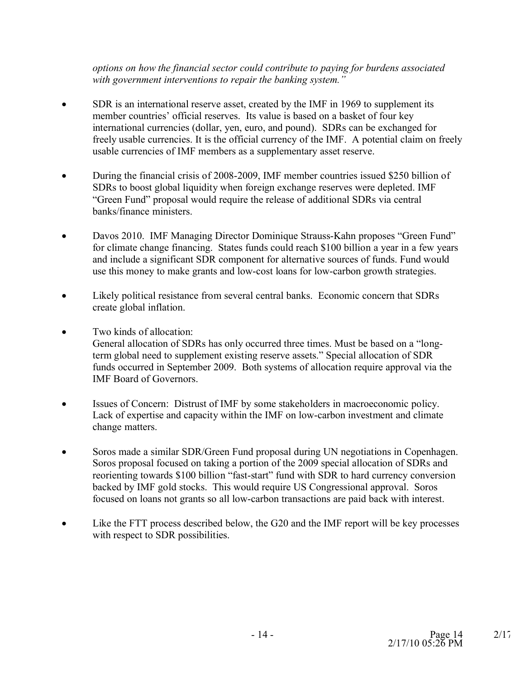*options on how the financial sector could contribute to paying for burdens associated with government interventions to repair the banking system."*

- · SDR is an international reserve asset, created by the IMF in 1969 to supplement its member countries' official reserves. Its value is based on a basket of four key international currencies (dollar, yen, euro, and pound). SDRs can be exchanged for freely usable currencies. It is the official currency of the IMF. A potential claim on freely usable currencies of IMF members as a supplementary asset reserve.
- During the financial crisis of 2008-2009, IMF member countries issued \$250 billion of SDRs to boost global liquidity when foreign exchange reserves were depleted. IMF "Green Fund" proposal would require the release of additional SDRs via central banks/finance ministers.
- Davos 2010. IMF Managing Director Dominique Strauss-Kahn proposes "Green Fund" for climate change financing. States funds could reach \$100 billion a year in a few years and include a significant SDR component for alternative sources of funds. Fund would use this money to make grants and low-cost loans for low-carbon growth strategies.
- · Likely political resistance from several central banks. Economic concern that SDRs create global inflation.
- · Two kinds of allocation:

General allocation of SDRs has only occurred three times. Must be based on a "longterm global need to supplement existing reserve assets." Special allocation of SDR funds occurred in September 2009. Both systems of allocation require approval via the IMF Board of Governors.

- · Issues of Concern: Distrust of IMF by some stakeholders in macroeconomic policy. Lack of expertise and capacity within the IMF on low-carbon investment and climate change matters.
- · Soros made a similar SDR/Green Fund proposal during UN negotiations in Copenhagen. Soros proposal focused on taking a portion of the 2009 special allocation of SDRs and reorienting towards \$100 billion "fast-start" fund with SDR to hard currency conversion backed by IMF gold stocks. This would require US Congressional approval. Soros focused on loans not grants so all low-carbon transactions are paid back with interest.
- Like the FTT process described below, the G20 and the IMF report will be key processes with respect to SDR possibilities.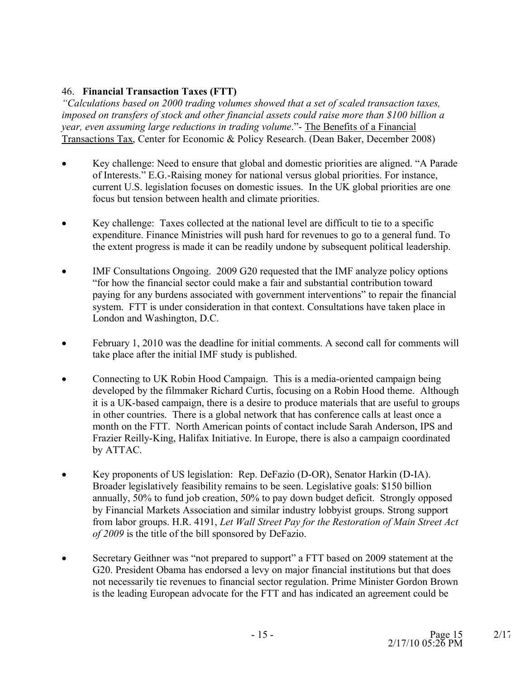# 46. **Financial Transaction Taxes (FTT)**

*"Calculations based on 2000 trading volumes showed that a set of scaled transaction taxes, imposed on transfers of stock and other financial assets could raise more than \$100 billion a year, even assuming large reductions in trading volume*."- The Benefits of a Financial Transactions Tax, Center for Economic & Policy Research. (Dean Baker, December 2008)

- Key challenge: Need to ensure that global and domestic priorities are aligned. "A Parade of Interests." E.G.-Raising money for national versus global priorities. For instance, current U.S. legislation focuses on domestic issues. In the UK global priorities are one focus but tension between health and climate priorities.
- · Key challenge: Taxes collected at the national level are difficult to tie to a specific expenditure. Finance Ministries will push hard for revenues to go to a general fund. To the extent progress is made it can be readily undone by subsequent political leadership.
- IMF Consultations Ongoing. 2009 G20 requested that the IMF analyze policy options "for how the financial sector could make a fair and substantial contribution toward paying for any burdens associated with government interventions" to repair the financial system. FTT is under consideration in that context. Consultations have taken place in London and Washington, D.C.
- · February 1, 2010 was the deadline for initial comments. A second call for comments will take place after the initial IMF study is published.
- Connecting to UK Robin Hood Campaign. This is a media-oriented campaign being developed by the filmmaker Richard Curtis, focusing on a Robin Hood theme. Although it is a UK-based campaign, there is a desire to produce materials that are useful to groups in other countries. There is a global network that has conference calls at least once a month on the FTT. North American points of contact include Sarah Anderson, IPS and Frazier Reilly-King, Halifax Initiative. In Europe, there is also a campaign coordinated by ATTAC.
- · Key proponents of US legislation: Rep. DeFazio (D-OR), Senator Harkin (D-IA). Broader legislatively feasibility remains to be seen. Legislative goals: \$150 billion annually, 50% to fund job creation, 50% to pay down budget deficit. Strongly opposed by Financial Markets Association and similar industry lobbyist groups. Strong support from labor groups. H.R. 4191, *Let Wall Street Pay for the Restoration of Main Street Act of 2009* is the title of the bill sponsored by DeFazio.
- · Secretary Geithner was "not prepared to support" a FTT based on 2009 statement at the G20. President Obama has endorsed a levy on major financial institutions but that does not necessarily tie revenues to financial sector regulation. Prime Minister Gordon Brown is the leading European advocate for the FTT and has indicated an agreement could be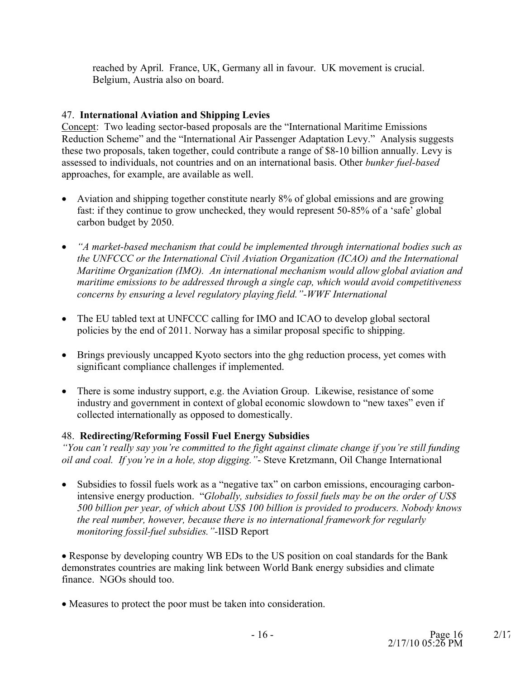reached by April. France, UK, Germany all in favour. UK movement is crucial. Belgium, Austria also on board.

# 47. **International Aviation and Shipping Levies**

Concept: Two leading sector-based proposals are the "International Maritime Emissions Reduction Scheme" and the "International Air Passenger Adaptation Levy." Analysis suggests these two proposals, taken together, could contribute a range of \$8-10 billion annually. Levy is assessed to individuals, not countries and on an international basis. Other *bunker fuel-based* approaches, for example, are available as well.

- Aviation and shipping together constitute nearly 8% of global emissions and are growing fast: if they continue to grow unchecked, they would represent 50-85% of a 'safe' global carbon budget by 2050.
- · *"A market-based mechanism that could be implemented through international bodies such as the UNFCCC or the International Civil Aviation Organization (ICAO) and the International Maritime Organization (IMO). An international mechanism would allow global aviation and maritime emissions to be addressed through a single cap, which would avoid competitiveness concerns by ensuring a level regulatory playing field."-WWF International*
- The EU tabled text at UNFCCC calling for IMO and ICAO to develop global sectoral policies by the end of 2011. Norway has a similar proposal specific to shipping.
- Brings previously uncapped Kyoto sectors into the ghg reduction process, yet comes with significant compliance challenges if implemented.
- There is some industry support, e.g. the Aviation Group. Likewise, resistance of some industry and government in context of global economic slowdown to "new taxes" even if collected internationally as opposed to domestically.

# 48. **Redirecting/Reforming Fossil Fuel Energy Subsidies**

*"You can't really say you're committed to the fight against climate change if you're still funding oil and coal. If you're in a hole, stop digging."*- Steve Kretzmann, Oil Change International

• Subsidies to fossil fuels work as a "negative tax" on carbon emissions, encouraging carbonintensive energy production. "*Globally, subsidies to fossil fuels may be on the order of US\$ 500 billion per year, of which about US\$ 100 billion is provided to producers. Nobody knows the real number, however, because there is no international framework for regularly monitoring fossil-fuel subsidies."-*IISD Report

· Response by developing country WB EDs to the US position on coal standards for the Bank demonstrates countries are making link between World Bank energy subsidies and climate finance. NGOs should too.

· Measures to protect the poor must be taken into consideration.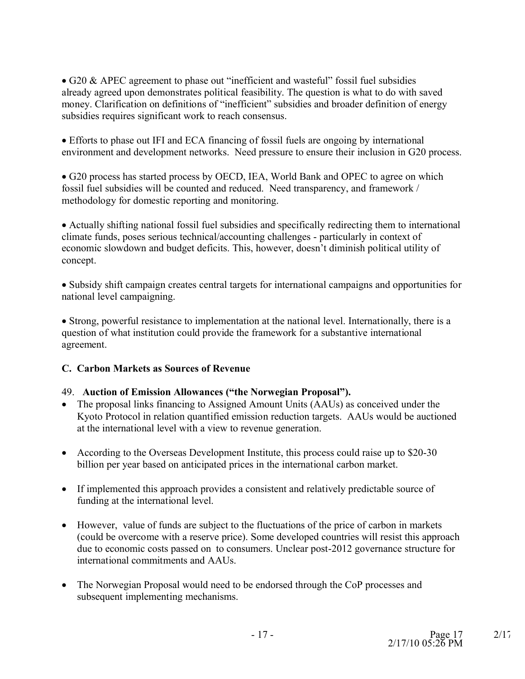· G20 & APEC agreement to phase out "inefficient and wasteful" fossil fuel subsidies already agreed upon demonstrates political feasibility. The question is what to do with saved money. Clarification on definitions of "inefficient" subsidies and broader definition of energy subsidies requires significant work to reach consensus.

· Efforts to phase out IFI and ECA financing of fossil fuels are ongoing by international environment and development networks. Need pressure to ensure their inclusion in G20 process.

· G20 process has started process by OECD, IEA, World Bank and OPEC to agree on which fossil fuel subsidies will be counted and reduced. Need transparency, and framework / methodology for domestic reporting and monitoring.

· Actually shifting national fossil fuel subsidies and specifically redirecting them to international climate funds, poses serious technical/accounting challenges - particularly in context of economic slowdown and budget deficits. This, however, doesn't diminish political utility of concept.

· Subsidy shift campaign creates central targets for international campaigns and opportunities for national level campaigning.

· Strong, powerful resistance to implementation at the national level. Internationally, there is a question of what institution could provide the framework for a substantive international agreement.

# **C. Carbon Markets as Sources of Revenue**

# 49. **Auction of Emission Allowances ("the Norwegian Proposal").**

- The proposal links financing to Assigned Amount Units (AAUs) as conceived under the Kyoto Protocol in relation quantified emission reduction targets. AAUs would be auctioned at the international level with a view to revenue generation.
- According to the Overseas Development Institute, this process could raise up to \$20-30 billion per year based on anticipated prices in the international carbon market.
- · If implemented this approach provides a consistent and relatively predictable source of funding at the international level.
- · However, value of funds are subject to the fluctuations of the price of carbon in markets (could be overcome with a reserve price). Some developed countries will resist this approach due to economic costs passed on to consumers. Unclear post-2012 governance structure for international commitments and AAUs.
- The Norwegian Proposal would need to be endorsed through the CoP processes and subsequent implementing mechanisms.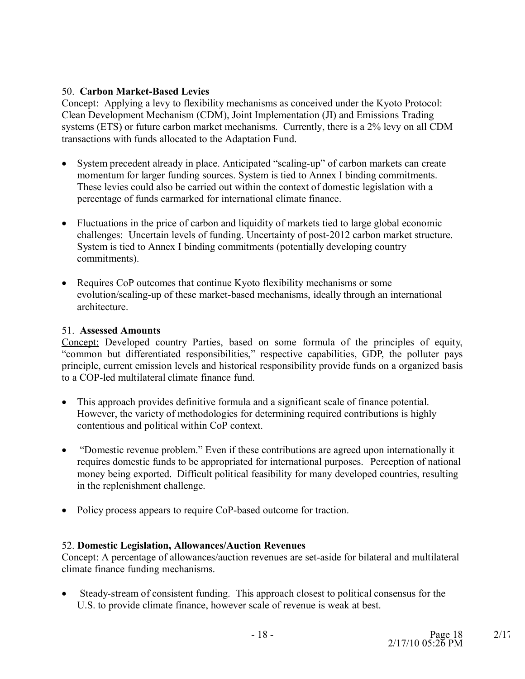### 50. **Carbon Market-Based Levies**

Concept: Applying a levy to flexibility mechanisms as conceived under the Kyoto Protocol: Clean Development Mechanism (CDM), Joint Implementation (JI) and Emissions Trading systems (ETS) or future carbon market mechanisms. Currently, there is a 2% levy on all CDM transactions with funds allocated to the Adaptation Fund.

- · System precedent already in place. Anticipated "scaling-up" of carbon markets can create momentum for larger funding sources. System is tied to Annex I binding commitments. These levies could also be carried out within the context of domestic legislation with a percentage of funds earmarked for international climate finance.
- · Fluctuations in the price of carbon and liquidity of markets tied to large global economic challenges: Uncertain levels of funding. Uncertainty of post-2012 carbon market structure. System is tied to Annex I binding commitments (potentially developing country commitments).
- Requires CoP outcomes that continue Kyoto flexibility mechanisms or some evolution/scaling-up of these market-based mechanisms, ideally through an international architecture.

#### 51. **Assessed Amounts**

Concept: Developed country Parties, based on some formula of the principles of equity, "common but differentiated responsibilities," respective capabilities, GDP, the polluter pays principle, current emission levels and historical responsibility provide funds on a organized basis to a COP-led multilateral climate finance fund.

- · This approach provides definitive formula and a significant scale of finance potential. However, the variety of methodologies for determining required contributions is highly contentious and political within CoP context.
- "Domestic revenue problem." Even if these contributions are agreed upon internationally it requires domestic funds to be appropriated for international purposes. Perception of national money being exported. Difficult political feasibility for many developed countries, resulting in the replenishment challenge.
- Policy process appears to require CoP-based outcome for traction.

#### 52. **Domestic Legislation, Allowances/Auction Revenues**

Concept: A percentage of allowances/auction revenues are set-aside for bilateral and multilateral climate finance funding mechanisms.

• Steady-stream of consistent funding. This approach closest to political consensus for the U.S. to provide climate finance, however scale of revenue is weak at best.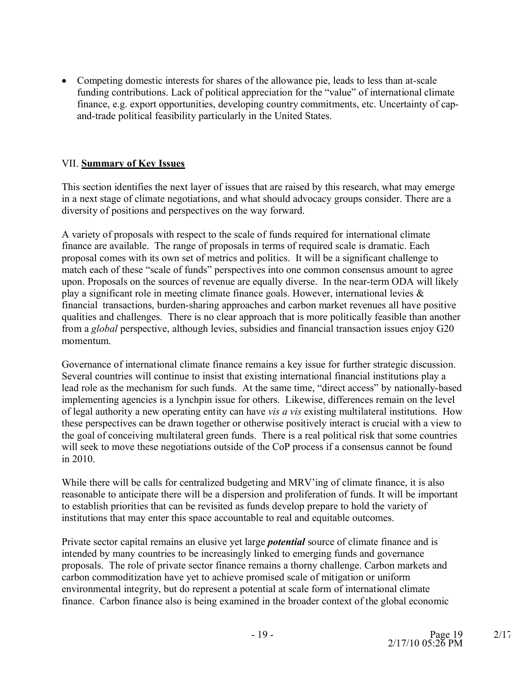· Competing domestic interests for shares of the allowance pie, leads to less than at-scale funding contributions. Lack of political appreciation for the "value" of international climate finance, e.g. export opportunities, developing country commitments, etc. Uncertainty of capand-trade political feasibility particularly in the United States.

### VII. **Summary of Key Issues**

This section identifies the next layer of issues that are raised by this research, what may emerge in a next stage of climate negotiations, and what should advocacy groups consider. There are a diversity of positions and perspectives on the way forward.

A variety of proposals with respect to the scale of funds required for international climate finance are available. The range of proposals in terms of required scale is dramatic. Each proposal comes with its own set of metrics and politics. It will be a significant challenge to match each of these "scale of funds" perspectives into one common consensus amount to agree upon. Proposals on the sources of revenue are equally diverse. In the near-term ODA will likely play a significant role in meeting climate finance goals. However, international levies & financial transactions, burden-sharing approaches and carbon market revenues all have positive qualities and challenges. There is no clear approach that is more politically feasible than another from a *global* perspective, although levies, subsidies and financial transaction issues enjoy G20 momentum.

Governance of international climate finance remains a key issue for further strategic discussion. Several countries will continue to insist that existing international financial institutions play a lead role as the mechanism for such funds. At the same time, "direct access" by nationally-based implementing agencies is a lynchpin issue for others. Likewise, differences remain on the level of legal authority a new operating entity can have *vis a vis* existing multilateral institutions. How these perspectives can be drawn together or otherwise positively interact is crucial with a view to the goal of conceiving multilateral green funds. There is a real political risk that some countries will seek to move these negotiations outside of the CoP process if a consensus cannot be found in 2010.

While there will be calls for centralized budgeting and MRV'ing of climate finance, it is also reasonable to anticipate there will be a dispersion and proliferation of funds. It will be important to establish priorities that can be revisited as funds develop prepare to hold the variety of institutions that may enter this space accountable to real and equitable outcomes.

Private sector capital remains an elusive yet large *potential* source of climate finance and is intended by many countries to be increasingly linked to emerging funds and governance proposals. The role of private sector finance remains a thorny challenge. Carbon markets and carbon commoditization have yet to achieve promised scale of mitigation or uniform environmental integrity, but do represent a potential at scale form of international climate finance. Carbon finance also is being examined in the broader context of the global economic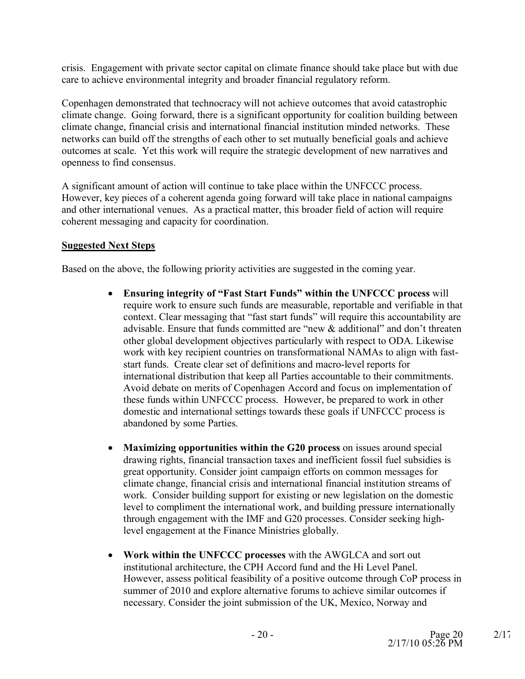crisis. Engagement with private sector capital on climate finance should take place but with due care to achieve environmental integrity and broader financial regulatory reform.

Copenhagen demonstrated that technocracy will not achieve outcomes that avoid catastrophic climate change. Going forward, there is a significant opportunity for coalition building between climate change, financial crisis and international financial institution minded networks. These networks can build off the strengths of each other to set mutually beneficial goals and achieve outcomes at scale. Yet this work will require the strategic development of new narratives and openness to find consensus.

A significant amount of action will continue to take place within the UNFCCC process. However, key pieces of a coherent agenda going forward will take place in national campaigns and other international venues. As a practical matter, this broader field of action will require coherent messaging and capacity for coordination.

### **Suggested Next Steps**

Based on the above, the following priority activities are suggested in the coming year.

- · **Ensuring integrity of "Fast Start Funds" within the UNFCCC process** will require work to ensure such funds are measurable, reportable and verifiable in that context. Clear messaging that "fast start funds" will require this accountability are advisable. Ensure that funds committed are "new & additional" and don't threaten other global development objectives particularly with respect to ODA. Likewise work with key recipient countries on transformational NAMAs to align with faststart funds. Create clear set of definitions and macro-level reports for international distribution that keep all Parties accountable to their commitments. Avoid debate on merits of Copenhagen Accord and focus on implementation of these funds within UNFCCC process. However, be prepared to work in other domestic and international settings towards these goals if UNFCCC process is abandoned by some Parties.
- · **Maximizing opportunities within the G20 process** on issues around special drawing rights, financial transaction taxes and inefficient fossil fuel subsidies is great opportunity. Consider joint campaign efforts on common messages for climate change, financial crisis and international financial institution streams of work. Consider building support for existing or new legislation on the domestic level to compliment the international work, and building pressure internationally through engagement with the IMF and G20 processes. Consider seeking highlevel engagement at the Finance Ministries globally.
- · **Work within the UNFCCC processes** with the AWGLCA and sort out institutional architecture, the CPH Accord fund and the Hi Level Panel. However, assess political feasibility of a positive outcome through CoP process in summer of 2010 and explore alternative forums to achieve similar outcomes if necessary. Consider the joint submission of the UK, Mexico, Norway and